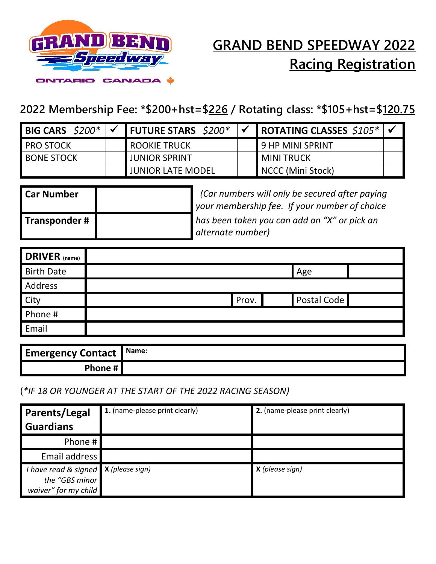

# **GRAND BEND SPEEDWAY 2022 Racing Registration**

### **2022 Membership Fee: \*\$200+hst=\$226 / Rotating class: \*\$105+hst=\$120.75**

| <b>BIG CARS</b> $$200*$ | <b>FUTURE STARS</b> $$200*$ | ROTATING CLASSES $$105*$ $\checkmark$ |  |
|-------------------------|-----------------------------|---------------------------------------|--|
| <b>PRO STOCK</b>        | <b>ROOKIE TRUCK</b>         | <b>9 HP MINI SPRINT</b>               |  |
| <b>BONE STOCK</b>       | <b>JUNIOR SPRINT</b>        | <b>MINITRUCK</b>                      |  |
|                         | <b>JUNIOR LATE MODEL</b>    | NCCC (Mini Stock)                     |  |

| ' Car Number  | Car numbers will only be secured after paying<br>your membership fee. If your number of choice |
|---------------|------------------------------------------------------------------------------------------------|
| Transponder # | has been taken you can add an "X" or pick an                                                   |
|               | alternate number)                                                                              |

| <b>DRIVER</b> (name) |                      |  |
|----------------------|----------------------|--|
| <b>Birth Date</b>    | Age                  |  |
| Address              |                      |  |
| <b>City</b>          | Postal Code<br>Prov. |  |
| Phone #              |                      |  |
| Email                |                      |  |

| <b>Emergency Contact   Name:</b> |  |
|----------------------------------|--|
| Phone $\sharp$ $\Box$            |  |

#### (*\*IF 18 OR YOUNGER AT THE START OF THE 2022 RACING SEASON)*

| <b>Parents/Legal</b>                                                             | 1. (name-please print clearly) | 2. (name-please print clearly) |
|----------------------------------------------------------------------------------|--------------------------------|--------------------------------|
| <b>Guardians</b>                                                                 |                                |                                |
| Phone #                                                                          |                                |                                |
| Email address                                                                    |                                |                                |
| I have read & signed $X$ (please sign)<br>the "GBS minor<br>waiver" for my child |                                | <b>X</b> (please sign)         |